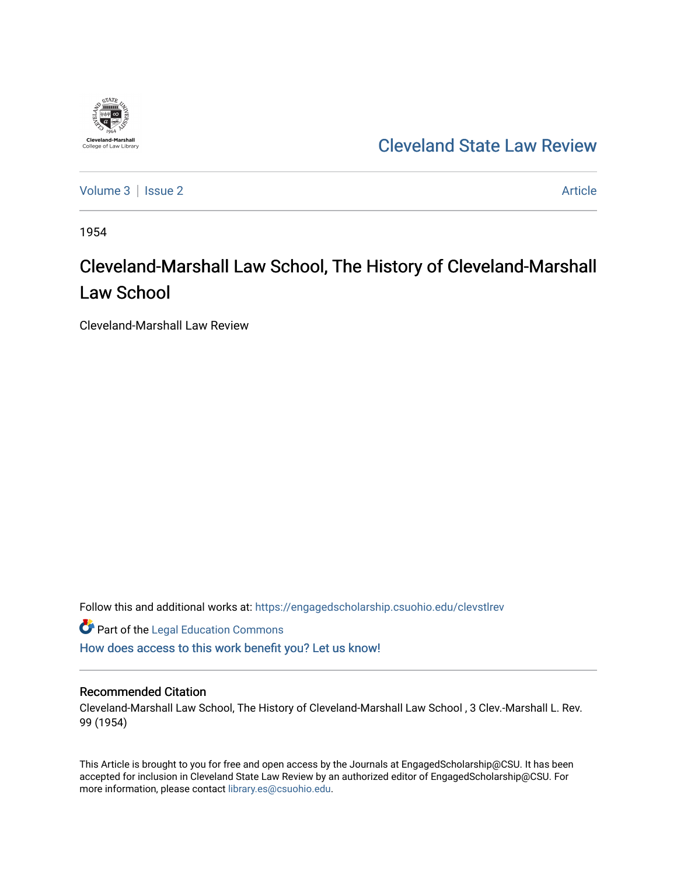

## [Cleveland State Law Review](https://engagedscholarship.csuohio.edu/clevstlrev)

[Volume 3](https://engagedscholarship.csuohio.edu/clevstlrev/vol3) | [Issue 2](https://engagedscholarship.csuohio.edu/clevstlrev/vol3/iss2) Article

1954

# Cleveland-Marshall Law School, The History of Cleveland-Marshall Law School

Cleveland-Marshall Law Review

Follow this and additional works at: [https://engagedscholarship.csuohio.edu/clevstlrev](https://engagedscholarship.csuohio.edu/clevstlrev?utm_source=engagedscholarship.csuohio.edu%2Fclevstlrev%2Fvol3%2Fiss2%2F3&utm_medium=PDF&utm_campaign=PDFCoverPages)

**Part of the Legal Education Commons** [How does access to this work benefit you? Let us know!](http://library.csuohio.edu/engaged/)

## Recommended Citation

Cleveland-Marshall Law School, The History of Cleveland-Marshall Law School , 3 Clev.-Marshall L. Rev. 99 (1954)

This Article is brought to you for free and open access by the Journals at EngagedScholarship@CSU. It has been accepted for inclusion in Cleveland State Law Review by an authorized editor of EngagedScholarship@CSU. For more information, please contact [library.es@csuohio.edu](mailto:library.es@csuohio.edu).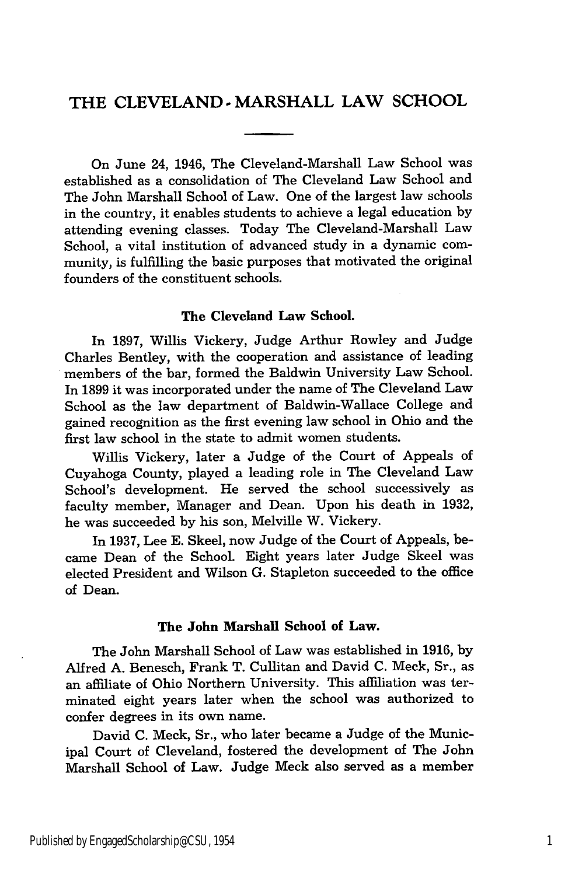## THE **CLEVELAND** -MARSHALL LAW **SCHOOL**

On June 24, 1946, The Cleveland-Marshall Law School was established as a consolidation of The Cleveland Law School and The John Marshall School of Law. One of the largest law schools in the country, it enables students to achieve a legal education by attending evening classes. Today The Cleveland-Marshall Law School, a vital institution of advanced study in a dynamic community, is fulfilling the basic purposes that motivated the original founders of the constituent schools.

### The Cleveland Law School.

In **1897,** Willis Vickery, Judge Arthur Rowley and Judge Charles Bentley, with the cooperation and assistance of leading members of the bar, formed the Baldwin University Law School. In 1899 it was incorporated under the name of The Cleveland Law School as the law department of Baldwin-Wallace College and gained recognition as the first evening law school in Ohio and the first law school in the state to admit women students.

Willis Vickery, later a Judge of the Court of Appeals of Cuyahoga County, played a leading role in The Cleveland Law School's development. He served the school successively as faculty member, Manager and Dean. Upon his death in 1932, he was succeeded by his son, Melville W. Vickery.

In 1937, Lee E. Skeel, now Judge of the Court of Appeals, became Dean of the School. Eight years later Judge Skeel was elected President and Wilson G. Stapleton succeeded to the office of Dean.

#### The John Marshall School of Law.

The John Marshall School of Law was established in **1916,** by Alfred A. Benesch, Frank T. Cullitan and David C. Meck, Sr., as an affiliate of Ohio Northern University. This affiliation was terminated eight years later when the school was authorized to confer degrees in its own name.

David C. Meck, Sr., who later became a Judge of the Municipal Court of Cleveland, fostered the development of The John Marshall School of Law. Judge Meck also served as a member